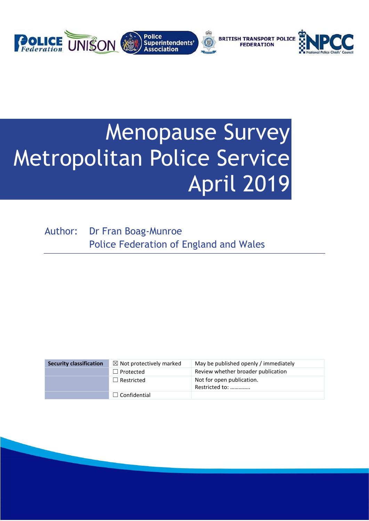

# Menopause Survey Metropolitan Police Service April 2019

Author: Dr Fran Boag-Munroe Police Federation of England and Wales

| <b>Security classification</b> | $\boxtimes$ Not protectively marked | May be published openly / immediately       |
|--------------------------------|-------------------------------------|---------------------------------------------|
|                                | $\Box$ Protected                    | Review whether broader publication          |
|                                | $\Box$ Restricted                   | Not for open publication.<br>Restricted to: |
|                                | $\Box$ Confidential                 |                                             |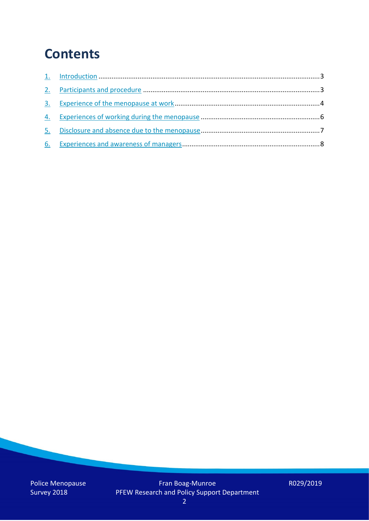### **Contents**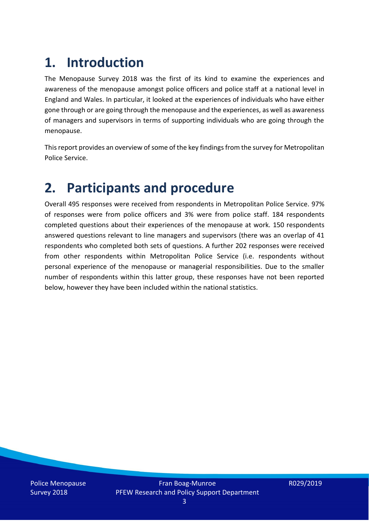## **1. Introduction**

The Menopause Survey 2018 was the first of its kind to examine the experiences and awareness of the menopause amongst police officers and police staff at a national level in England and Wales. In particular, it looked at the experiences of individuals who have either gone through or are going through the menopause and the experiences, as well as awareness of managers and supervisors in terms of supporting individuals who are going through the menopause.

This report provides an overview of some of the key findings from the survey for Metropolitan Police Service.

### **2. Participants and procedure**

Overall 495 responses were received from respondents in Metropolitan Police Service. 97% of responses were from police officers and 3% were from police staff. 184 respondents completed questions about their experiences of the menopause at work. 150 respondents answered questions relevant to line managers and supervisors (there was an overlap of 41 respondents who completed both sets of questions. A further 202 responses were received from other respondents within Metropolitan Police Service (i.e. respondents without personal experience of the menopause or managerial responsibilities. Due to the smaller number of respondents within this latter group, these responses have not been reported below, however they have been included within the national statistics.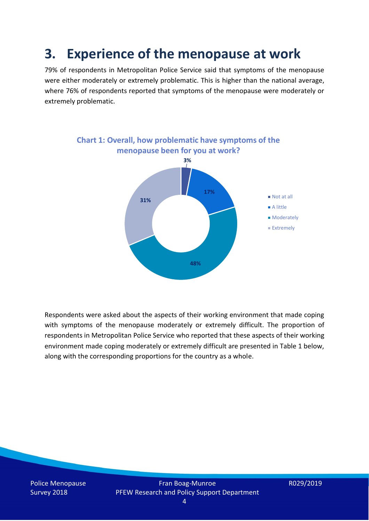### **3. Experience of the menopause at work**

79% of respondents in Metropolitan Police Service said that symptoms of the menopause were either moderately or extremely problematic. This is higher than the national average, where 76% of respondents reported that symptoms of the menopause were moderately or extremely problematic.



Respondents were asked about the aspects of their working environment that made coping with symptoms of the menopause moderately or extremely difficult. The proportion of respondents in Metropolitan Police Service who reported that these aspects of their working environment made coping moderately or extremely difficult are presented in Table 1 below, along with the corresponding proportions for the country as a whole.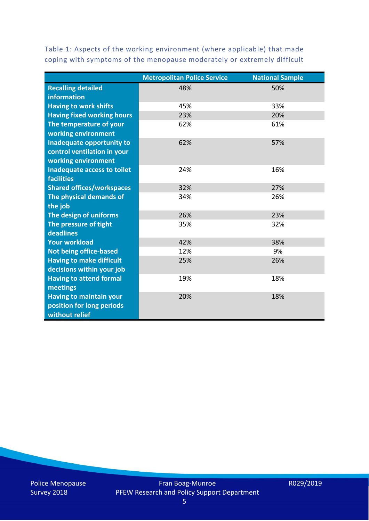Table 1: Aspects of the working environment (where applicable) that made coping with symptoms of the menopause moderately or extremely difficult

|                                   | <b>Metropolitan Police Service</b> | <b>National Sample</b> |
|-----------------------------------|------------------------------------|------------------------|
| <b>Recalling detailed</b>         | 48%                                | 50%                    |
| information                       |                                    |                        |
| <b>Having to work shifts</b>      | 45%                                | 33%                    |
| <b>Having fixed working hours</b> | 23%                                | 20%                    |
| The temperature of your           | 62%                                | 61%                    |
| working environment               |                                    |                        |
| <b>Inadequate opportunity to</b>  | 62%                                | 57%                    |
| control ventilation in your       |                                    |                        |
| working environment               |                                    |                        |
| Inadequate access to toilet       | 24%                                | 16%                    |
| <b>facilities</b>                 |                                    |                        |
| <b>Shared offices/workspaces</b>  | 32%                                | 27%                    |
| The physical demands of           | 34%                                | 26%                    |
| the job                           |                                    |                        |
| The design of uniforms            | 26%                                | 23%                    |
| The pressure of tight             | 35%                                | 32%                    |
| deadlines                         |                                    |                        |
| <b>Your workload</b>              | 42%                                | 38%                    |
| <b>Not being office-based</b>     | 12%                                | 9%                     |
| <b>Having to make difficult</b>   | 25%                                | 26%                    |
| decisions within your job         |                                    |                        |
| <b>Having to attend formal</b>    | 19%                                | 18%                    |
| meetings                          |                                    |                        |
| <b>Having to maintain your</b>    | 20%                                | 18%                    |
| position for long periods         |                                    |                        |
| without relief                    |                                    |                        |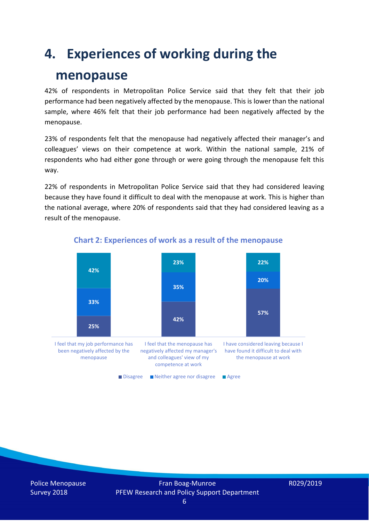### **4. Experiences of working during the**

### **menopause**

42% of respondents in Metropolitan Police Service said that they felt that their job performance had been negatively affected by the menopause. This is lower than the national sample, where 46% felt that their job performance had been negatively affected by the menopause.

23% of respondents felt that the menopause had negatively affected their manager's and colleagues' views on their competence at work. Within the national sample, 21% of respondents who had either gone through or were going through the menopause felt this way.

22% of respondents in Metropolitan Police Service said that they had considered leaving because they have found it difficult to deal with the menopause at work. This is higher than the national average, where 20% of respondents said that they had considered leaving as a result of the menopause.



#### **Chart 2: Experiences of work as a result of the menopause**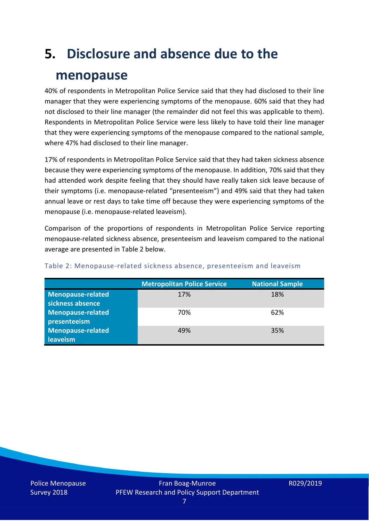# **5. Disclosure and absence due to the**

### **menopause**

40% of respondents in Metropolitan Police Service said that they had disclosed to their line manager that they were experiencing symptoms of the menopause. 60% said that they had not disclosed to their line manager (the remainder did not feel this was applicable to them). Respondents in Metropolitan Police Service were less likely to have told their line manager that they were experiencing symptoms of the menopause compared to the national sample, where 47% had disclosed to their line manager.

17% of respondents in Metropolitan Police Service said that they had taken sickness absence because they were experiencing symptoms of the menopause. In addition, 70% said that they had attended work despite feeling that they should have really taken sick leave because of their symptoms (i.e. menopause-related "presenteeism") and 49% said that they had taken annual leave or rest days to take time off because they were experiencing symptoms of the menopause (i.e. menopause-related leaveism).

Comparison of the proportions of respondents in Metropolitan Police Service reporting menopause-related sickness absence, presenteeism and leaveism compared to the national average are presented in Table 2 below.

|                          | <b>Metropolitan Police Service</b> | <b>National Sample</b> |
|--------------------------|------------------------------------|------------------------|
| <b>Menopause-related</b> | 17%                                | 18%                    |
| sickness absence         |                                    |                        |
| Menopause-related        | 70%                                | 62%                    |
| presenteeism             |                                    |                        |
| <b>Menopause-related</b> | 49%                                | 35%                    |
| leaveism                 |                                    |                        |

#### Table 2: Menopause-related sickness absence, presenteeism and leaveism